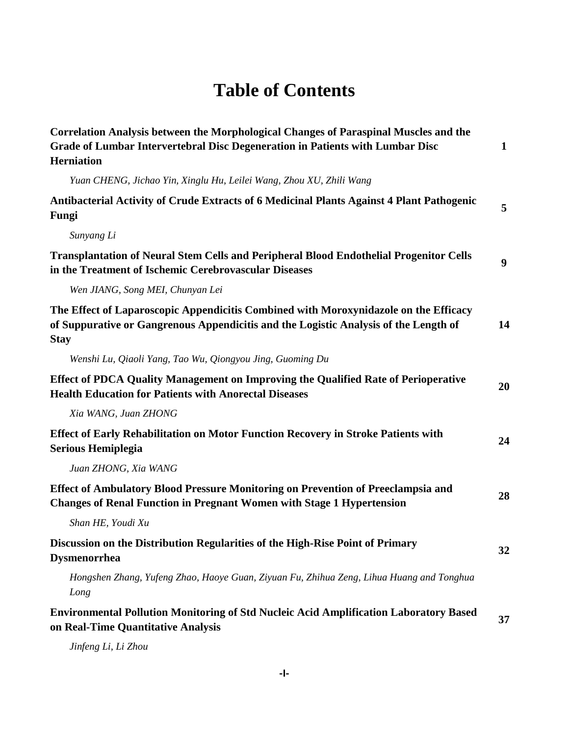## **Table of Contents**

| Correlation Analysis between the Morphological Changes of Paraspinal Muscles and the<br>Grade of Lumbar Intervertebral Disc Degeneration in Patients with Lumbar Disc<br><b>Herniation</b>  | $\mathbf{1}$     |
|---------------------------------------------------------------------------------------------------------------------------------------------------------------------------------------------|------------------|
| Yuan CHENG, Jichao Yin, Xinglu Hu, Leilei Wang, Zhou XU, Zhili Wang                                                                                                                         |                  |
| Antibacterial Activity of Crude Extracts of 6 Medicinal Plants Against 4 Plant Pathogenic<br>Fungi                                                                                          | 5                |
| Sunyang Li                                                                                                                                                                                  |                  |
| <b>Transplantation of Neural Stem Cells and Peripheral Blood Endothelial Progenitor Cells</b><br>in the Treatment of Ischemic Cerebrovascular Diseases                                      | $\boldsymbol{9}$ |
| Wen JIANG, Song MEI, Chunyan Lei                                                                                                                                                            |                  |
| The Effect of Laparoscopic Appendicitis Combined with Moroxynidazole on the Efficacy<br>of Suppurative or Gangrenous Appendicitis and the Logistic Analysis of the Length of<br><b>Stay</b> | 14               |
| Wenshi Lu, Qiaoli Yang, Tao Wu, Qiongyou Jing, Guoming Du                                                                                                                                   |                  |
| Effect of PDCA Quality Management on Improving the Qualified Rate of Perioperative<br><b>Health Education for Patients with Anorectal Diseases</b>                                          | 20               |
| Xia WANG, Juan ZHONG                                                                                                                                                                        |                  |
| Effect of Early Rehabilitation on Motor Function Recovery in Stroke Patients with<br><b>Serious Hemiplegia</b>                                                                              | 24               |
| Juan ZHONG, Xia WANG                                                                                                                                                                        |                  |
| Effect of Ambulatory Blood Pressure Monitoring on Prevention of Preeclampsia and<br><b>Changes of Renal Function in Pregnant Women with Stage 1 Hypertension</b>                            | 28               |
| Shan HE, Youdi Xu                                                                                                                                                                           |                  |
| Discussion on the Distribution Regularities of the High-Rise Point of Primary<br><b>Dysmenorrhea</b>                                                                                        | 32               |
| Hongshen Zhang, Yufeng Zhao, Haoye Guan, Ziyuan Fu, Zhihua Zeng, Lihua Huang and Tonghua<br>Long                                                                                            |                  |
| <b>Environmental Pollution Monitoring of Std Nucleic Acid Amplification Laboratory Based</b><br>on Real-Time Quantitative Analysis                                                          | 37               |

*Jinfeng Li, Li Zhou*